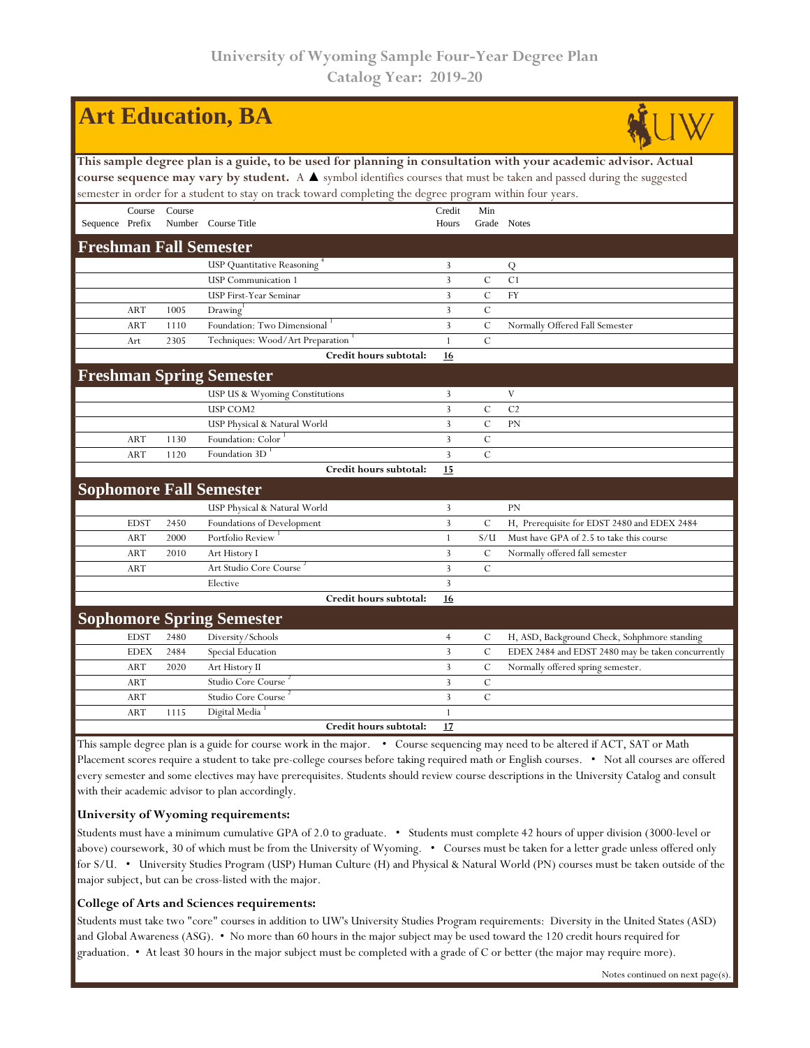| <b>Art Education, BA</b>                                                                                                             |             |        |                                                                                                          |                 |                    |                                                   |  |  |  |  |  |
|--------------------------------------------------------------------------------------------------------------------------------------|-------------|--------|----------------------------------------------------------------------------------------------------------|-----------------|--------------------|---------------------------------------------------|--|--|--|--|--|
| This sample degree plan is a guide, to be used for planning in consultation with your academic advisor. Actual                       |             |        |                                                                                                          |                 |                    |                                                   |  |  |  |  |  |
| course sequence may vary by student. A $\blacktriangle$ symbol identifies courses that must be taken and passed during the suggested |             |        |                                                                                                          |                 |                    |                                                   |  |  |  |  |  |
|                                                                                                                                      |             |        | semester in order for a student to stay on track toward completing the degree program within four years. |                 |                    |                                                   |  |  |  |  |  |
| Sequence Prefix                                                                                                                      | Course      | Course | Number Course Title                                                                                      | Credit<br>Hours | Min<br>Grade Notes |                                                   |  |  |  |  |  |
| <b>Freshman Fall Semester</b>                                                                                                        |             |        |                                                                                                          |                 |                    |                                                   |  |  |  |  |  |
|                                                                                                                                      |             |        | <b>USP Quantitative Reasoning</b>                                                                        | 3               |                    | Q                                                 |  |  |  |  |  |
|                                                                                                                                      |             |        | <b>USP</b> Communication 1                                                                               | 3               | $\mathbf C$        | C1                                                |  |  |  |  |  |
|                                                                                                                                      |             |        | <b>USP First-Year Seminar</b>                                                                            | $\overline{3}$  | $\mathcal{C}$      | FY                                                |  |  |  |  |  |
|                                                                                                                                      | <b>ART</b>  | 1005   | <b>Drawing</b>                                                                                           | $\overline{3}$  | $\mathcal{C}$      |                                                   |  |  |  |  |  |
|                                                                                                                                      | <b>ART</b>  | 1110   | Foundation: Two Dimensional                                                                              | 3               | $\mathcal{C}$      | Normally Offered Fall Semester                    |  |  |  |  |  |
|                                                                                                                                      | Art         | 2305   | Techniques: Wood/Art Preparation                                                                         | $\mathbf{1}$    | $\mathcal{C}$      |                                                   |  |  |  |  |  |
|                                                                                                                                      |             |        | Credit hours subtotal:                                                                                   | 16              |                    |                                                   |  |  |  |  |  |
| <b>Freshman Spring Semester</b>                                                                                                      |             |        |                                                                                                          |                 |                    |                                                   |  |  |  |  |  |
|                                                                                                                                      |             |        | USP US & Wyoming Constitutions                                                                           | 3               |                    | V                                                 |  |  |  |  |  |
|                                                                                                                                      |             |        | USP COM2                                                                                                 | $\overline{3}$  | $\mathbf C$        | C <sub>2</sub>                                    |  |  |  |  |  |
|                                                                                                                                      |             |        | USP Physical & Natural World                                                                             | 3               | $\overline{C}$     | PN                                                |  |  |  |  |  |
|                                                                                                                                      | <b>ART</b>  | 1130   | Foundation: Color                                                                                        | $\overline{3}$  | $\mathbf C$        |                                                   |  |  |  |  |  |
|                                                                                                                                      | <b>ART</b>  | 1120   | Foundation 3D                                                                                            | $\overline{3}$  | $\mathcal{C}$      |                                                   |  |  |  |  |  |
|                                                                                                                                      |             |        | Credit hours subtotal:                                                                                   | 15              |                    |                                                   |  |  |  |  |  |
|                                                                                                                                      |             |        | <b>Sophomore Fall Semester</b>                                                                           |                 |                    |                                                   |  |  |  |  |  |
|                                                                                                                                      |             |        | USP Physical & Natural World                                                                             | 3               |                    | PN                                                |  |  |  |  |  |
|                                                                                                                                      | <b>EDST</b> | 2450   | Foundations of Development                                                                               | $\mathbf{3}$    | $\mathcal{C}$      | H, Prerequisite for EDST 2480 and EDEX 2484       |  |  |  |  |  |
|                                                                                                                                      | <b>ART</b>  | 2000   | Portfolio Review                                                                                         | 1               | S/U                | Must have GPA of 2.5 to take this course          |  |  |  |  |  |
|                                                                                                                                      | <b>ART</b>  | 2010   | Art History I                                                                                            | $\overline{3}$  | $\mathcal{C}$      | Normally offered fall semester                    |  |  |  |  |  |
|                                                                                                                                      | <b>ART</b>  |        | Art Studio Core Course                                                                                   | $\overline{3}$  | $\mathcal{C}$      |                                                   |  |  |  |  |  |
|                                                                                                                                      |             |        | Elective                                                                                                 | $\overline{3}$  |                    |                                                   |  |  |  |  |  |
|                                                                                                                                      |             |        | Credit hours subtotal:                                                                                   | <u>16</u>       |                    |                                                   |  |  |  |  |  |
| <b>Sophomore Spring Semester</b>                                                                                                     |             |        |                                                                                                          |                 |                    |                                                   |  |  |  |  |  |
|                                                                                                                                      | <b>EDST</b> | 2480   | Diversity/Schools                                                                                        | $\overline{4}$  | $\mathcal{C}$      | H, ASD, Background Check, Sohphmore standing      |  |  |  |  |  |
|                                                                                                                                      | <b>EDEX</b> | 2484   | Special Education                                                                                        | 3               | $\mathbf C$        | EDEX 2484 and EDST 2480 may be taken concurrently |  |  |  |  |  |
|                                                                                                                                      | <b>ART</b>  | 2020   | Art History II                                                                                           | 3               | $\mathbf C$        | Normally offered spring semester.                 |  |  |  |  |  |
|                                                                                                                                      | <b>ART</b>  |        | Studio Core Course                                                                                       | 3               | $\mathbf C$        |                                                   |  |  |  |  |  |
|                                                                                                                                      | <b>ART</b>  |        | Studio Core Course                                                                                       | $\overline{3}$  | $\cal C$           |                                                   |  |  |  |  |  |
|                                                                                                                                      | <b>ART</b>  | 1115   | Digital Media <sup>1</sup>                                                                               | $\mathbf{1}$    |                    |                                                   |  |  |  |  |  |
|                                                                                                                                      |             |        | Credit hours subtotal:                                                                                   | 17              |                    |                                                   |  |  |  |  |  |

This sample degree plan is a guide for course work in the major. • Course sequencing may need to be altered if ACT, SAT or Math Placement scores require a student to take pre-college courses before taking required math or English courses. • Not all courses are offered every semester and some electives may have prerequisites. Students should review course descriptions in the University Catalog and consult with their academic advisor to plan accordingly.

## **University of Wyoming requirements:**

Students must have a minimum cumulative GPA of 2.0 to graduate. • Students must complete 42 hours of upper division (3000-level or above) coursework, 30 of which must be from the University of Wyoming. • Courses must be taken for a letter grade unless offered only for S/U. • University Studies Program (USP) Human Culture (H) and Physical & Natural World (PN) courses must be taken outside of the major subject, but can be cross-listed with the major.

## **College of Arts and Sciences requirements:**

Students must take two "core" courses in addition to UW's University Studies Program requirements: Diversity in the United States (ASD) and Global Awareness (ASG). • No more than 60 hours in the major subject may be used toward the 120 credit hours required for graduation. • At least 30 hours in the major subject must be completed with a grade of C or better (the major may require more).